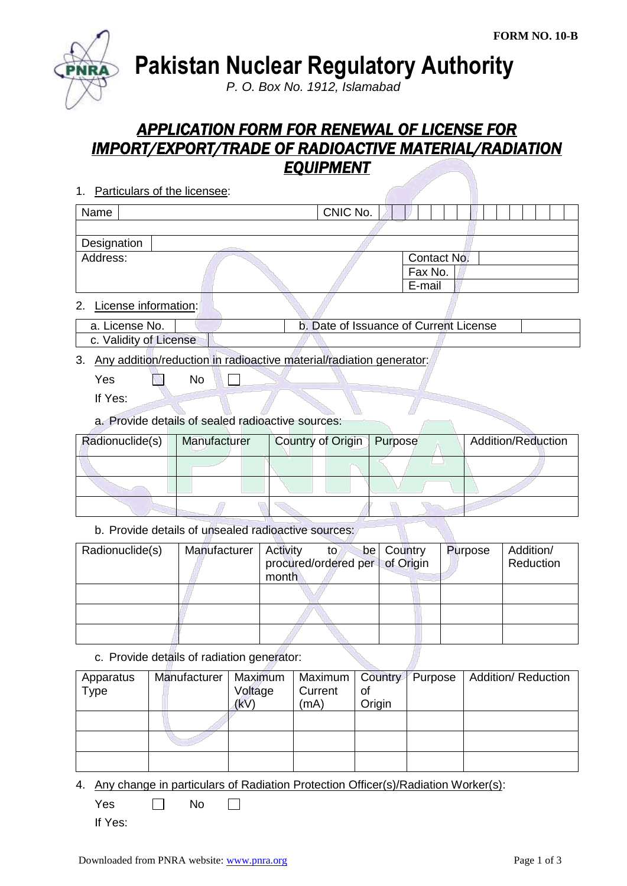

**Pakistan Nuclear Regulatory Authority**

*P. O. Box No. 1912, Islamabad*

## *APPLICATION FORM FOR RENEWAL OF LICENSE FOR IMPORT/EXPORT/TRADE OF RADIOACTIVE MATERIAL/RADIATION EQUIPMENT*

- 1. Particulars of the licensee: Name Name CNIC No. **Designation** Address: Contact No. Fax No. E-mail 2. License information: a. License No. b. Date of Issuance of Current License c. Validity of License
- 3. Any addition/reduction in radioactive material/radiation generator:

 $\Box$ 

- Yes No
- If Yes:
- a. Provide details of sealed radioactive sources:

| Radionuclide(s) | Manufacturer | Country of Origin   Purpose | <b>Addition/Reduction</b> |
|-----------------|--------------|-----------------------------|---------------------------|
|                 |              |                             |                           |
|                 |              |                             |                           |
|                 |              |                             |                           |

b. Provide details of unsealed radioactive sources:

| Radionuclide(s) | Manufacturer | Activity<br>to l<br>procured/ordered per of Origin<br>month | be Country | Purpose | Addition/<br>Reduction |
|-----------------|--------------|-------------------------------------------------------------|------------|---------|------------------------|
|                 |              |                                                             |            |         |                        |
|                 |              |                                                             |            |         |                        |
|                 |              |                                                             |            |         |                        |

c. Provide details of radiation generator:

| Apparatus | Manufacturer | Maximum | Maximum   Country   Purpose |        | <b>Addition/ Reduction</b> |
|-----------|--------------|---------|-----------------------------|--------|----------------------------|
| Type      |              | Voltage | Current                     | οf     |                            |
|           |              | (kV)    | (mA)                        | Origin |                            |
|           |              |         |                             |        |                            |
|           |              |         |                             |        |                            |
|           |              |         |                             |        |                            |

4. Any change in particulars of Radiation Protection Officer(s)/Radiation Worker(s):

 $Yes \qquad \Box \qquad No$  $\Box$ 

If Yes: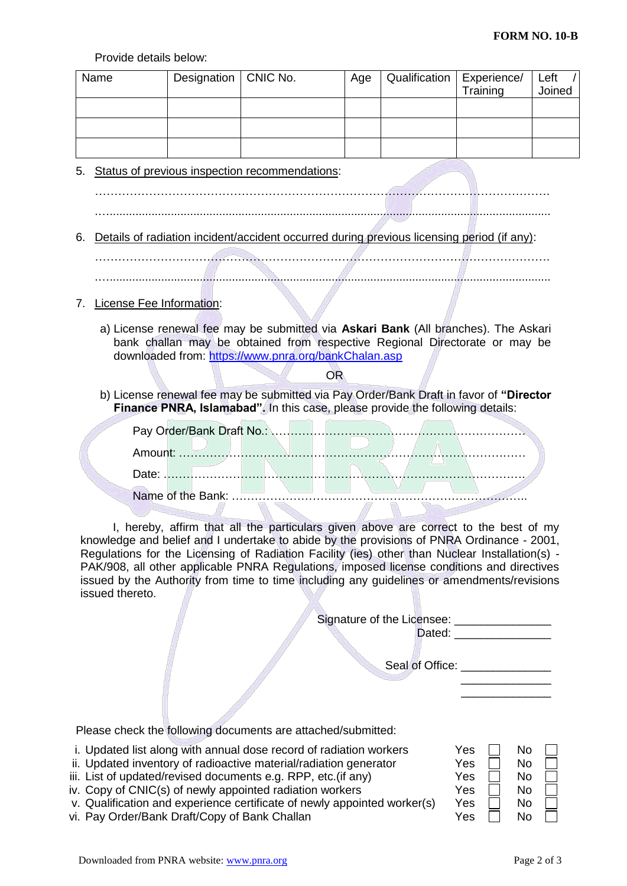Provide details below:

|      | FIUVIUU UULAIIS DUIUW. |                          |                                                                                                                                                                                             |                 |                                             |                                  |                |
|------|------------------------|--------------------------|---------------------------------------------------------------------------------------------------------------------------------------------------------------------------------------------|-----------------|---------------------------------------------|----------------------------------|----------------|
| Name |                        | Designation              | CNIC No.                                                                                                                                                                                    | Age             | Qualification                               | Experience/<br>Training          | Left<br>Joined |
|      |                        |                          |                                                                                                                                                                                             |                 |                                             |                                  |                |
|      |                        |                          |                                                                                                                                                                                             |                 |                                             |                                  |                |
|      |                        |                          |                                                                                                                                                                                             |                 |                                             |                                  |                |
| 5.   |                        |                          | Status of previous inspection recommendations:                                                                                                                                              |                 |                                             |                                  |                |
|      |                        |                          |                                                                                                                                                                                             |                 |                                             |                                  |                |
|      |                        |                          |                                                                                                                                                                                             |                 |                                             |                                  |                |
|      |                        |                          |                                                                                                                                                                                             |                 |                                             |                                  |                |
| 6.   |                        |                          | Details of radiation incident/accident occurred during previous licensing period (if any):                                                                                                  |                 |                                             |                                  |                |
|      |                        |                          |                                                                                                                                                                                             |                 |                                             |                                  |                |
|      |                        |                          |                                                                                                                                                                                             |                 |                                             |                                  |                |
| 7.   |                        | License Fee Information: |                                                                                                                                                                                             |                 |                                             |                                  |                |
|      |                        |                          | a) License renewal fee may be submitted via Askari Bank (All branches). The Askari                                                                                                          |                 |                                             |                                  |                |
|      |                        |                          | bank challan may be obtained from respective Regional Directorate or may be                                                                                                                 |                 |                                             |                                  |                |
|      |                        |                          | downloaded from: https://www.pnra.org/bankChalan.asp<br><b>OR</b>                                                                                                                           |                 |                                             |                                  |                |
|      |                        |                          | b) License renewal fee may be submitted via Pay Order/Bank Draft in favor of "Director                                                                                                      |                 |                                             |                                  |                |
|      |                        |                          | Finance PNRA, Islamabad". In this case, please provide the following details:                                                                                                               |                 |                                             |                                  |                |
|      |                        |                          |                                                                                                                                                                                             |                 |                                             |                                  |                |
|      |                        |                          |                                                                                                                                                                                             |                 |                                             |                                  |                |
|      |                        |                          |                                                                                                                                                                                             |                 |                                             |                                  |                |
|      |                        |                          |                                                                                                                                                                                             | <b>Contract</b> | <b>The Company of the Company</b>           |                                  |                |
|      |                        |                          |                                                                                                                                                                                             |                 |                                             |                                  |                |
|      |                        |                          | I, hereby, affirm that all the particulars given above are correct to the best of my                                                                                                        |                 |                                             |                                  |                |
|      |                        |                          | knowledge and belief and I undertake to abide by the provisions of PNRA Ordinance - 2001,<br>Regulations for the Licensing of Radiation Facility (ies) other than Nuclear Installation(s) - |                 |                                             |                                  |                |
|      |                        |                          | PAK/908, all other applicable PNRA Regulations, imposed license conditions and directives                                                                                                   |                 |                                             |                                  |                |
|      | issued thereto.        |                          | issued by the Authority from time to time including any guidelines or amendments/revisions                                                                                                  |                 |                                             |                                  |                |
|      |                        |                          |                                                                                                                                                                                             |                 |                                             |                                  |                |
|      |                        |                          |                                                                                                                                                                                             |                 | Signature of the Licensee: ________________ | Dated: _________________         |                |
|      |                        |                          |                                                                                                                                                                                             |                 |                                             |                                  |                |
|      |                        |                          |                                                                                                                                                                                             |                 |                                             | Seal of Office: <u>contained</u> |                |
|      |                        |                          |                                                                                                                                                                                             |                 |                                             |                                  |                |
|      |                        |                          |                                                                                                                                                                                             |                 |                                             |                                  |                |
|      |                        |                          | Please check the following documents are attached/submitted:                                                                                                                                |                 |                                             |                                  |                |
|      |                        |                          | i. Updated list along with annual dose record of radiation workers                                                                                                                          |                 |                                             | Yes<br>No                        |                |
|      |                        |                          | ii. Updated inventory of radioactive material/radiation generator<br>iii. List of updated/revised documents e.g. RPP, etc.(if any)                                                          |                 |                                             | Yes<br>No<br>Yes<br>No           |                |
|      |                        | marianga gartifigata     | iv. Copy of CNIC(s) of newly appointed radiation workers                                                                                                                                    |                 | nnaintaduosh(nr/a)                          | Yes<br>No                        |                |

v. Qualification and experience certificate of newly appointed worker(s)  $\begin{array}{ccc} \uparrow$  Yes  $\Box & \mathsf{No} & \Box \\ \downarrow$  Wo  $\Box & \mathsf{No} & \Box \end{array}$ vi. Pay Order/Bank Draft/Copy of Bank Challan